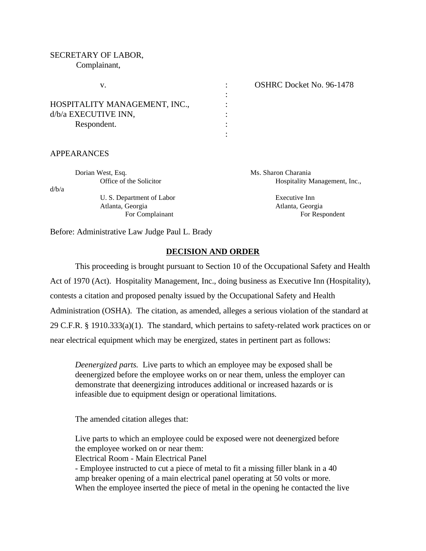#### SECRETARY OF LABOR,

Complainant,

|                               | <b>OSHRC Docket No. 96-1478</b> |
|-------------------------------|---------------------------------|
|                               |                                 |
| HOSPITALITY MANAGEMENT, INC., |                                 |
| d/b/a EXECUTIVE INN,          |                                 |
| Respondent.                   |                                 |
|                               |                                 |

## APPEARANCES

|       | Dorian West, Esq.         | Ms. Sharon Charania           |
|-------|---------------------------|-------------------------------|
|       | Office of the Solicitor   | Hospitality Management, Inc., |
| d/b/a |                           |                               |
|       | U. S. Department of Labor | Executive Inn                 |
|       | Atlanta, Georgia          | Atlanta, Georgia              |
|       | For Complainant           | For Respondent                |

Before: Administrative Law Judge Paul L. Brady

## **DECISION AND ORDER**

This proceeding is brought pursuant to Section 10 of the Occupational Safety and Health Act of 1970 (Act). Hospitality Management, Inc., doing business as Executive Inn (Hospitality), contests a citation and proposed penalty issued by the Occupational Safety and Health Administration (OSHA). The citation, as amended, alleges a serious violation of the standard at 29 C.F.R. § 1910.333(a)(1). The standard, which pertains to safety-related work practices on or near electrical equipment which may be energized, states in pertinent part as follows:

*Deenergized parts.* Live parts to which an employee may be exposed shall be deenergized before the employee works on or near them, unless the employer can demonstrate that deenergizing introduces additional or increased hazards or is infeasible due to equipment design or operational limitations.

The amended citation alleges that:

Live parts to which an employee could be exposed were not deenergized before the employee worked on or near them:

Electrical Room - Main Electrical Panel

- Employee instructed to cut a piece of metal to fit a missing filler blank in a 40 amp breaker opening of a main electrical panel operating at 50 volts or more. When the employee inserted the piece of metal in the opening he contacted the live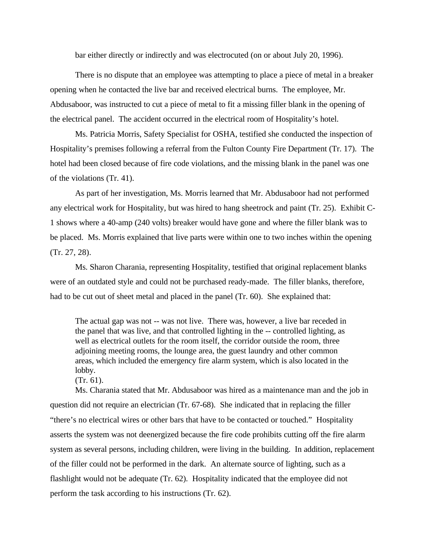bar either directly or indirectly and was electrocuted (on or about July 20, 1996).

There is no dispute that an employee was attempting to place a piece of metal in a breaker opening when he contacted the live bar and received electrical burns. The employee, Mr. Abdusaboor, was instructed to cut a piece of metal to fit a missing filler blank in the opening of the electrical panel. The accident occurred in the electrical room of Hospitality's hotel.

Ms. Patricia Morris, Safety Specialist for OSHA, testified she conducted the inspection of Hospitality's premises following a referral from the Fulton County Fire Department (Tr. 17). The hotel had been closed because of fire code violations, and the missing blank in the panel was one of the violations (Tr. 41).

As part of her investigation, Ms. Morris learned that Mr. Abdusaboor had not performed any electrical work for Hospitality, but was hired to hang sheetrock and paint (Tr. 25). Exhibit C-1 shows where a 40-amp (240 volts) breaker would have gone and where the filler blank was to be placed. Ms. Morris explained that live parts were within one to two inches within the opening (Tr. 27, 28).

Ms. Sharon Charania, representing Hospitality, testified that original replacement blanks were of an outdated style and could not be purchased ready-made. The filler blanks, therefore, had to be cut out of sheet metal and placed in the panel (Tr. 60). She explained that:

The actual gap was not -- was not live. There was, however, a live bar receded in the panel that was live, and that controlled lighting in the -- controlled lighting, as well as electrical outlets for the room itself, the corridor outside the room, three adjoining meeting rooms, the lounge area, the guest laundry and other common areas, which included the emergency fire alarm system, which is also located in the lobby.

(Tr. 61).

Ms. Charania stated that Mr. Abdusaboor was hired as a maintenance man and the job in question did not require an electrician (Tr. 67-68). She indicated that in replacing the filler "there's no electrical wires or other bars that have to be contacted or touched." Hospitality asserts the system was not deenergized because the fire code prohibits cutting off the fire alarm system as several persons, including children, were living in the building. In addition, replacement of the filler could not be performed in the dark. An alternate source of lighting, such as a flashlight would not be adequate (Tr. 62). Hospitality indicated that the employee did not perform the task according to his instructions (Tr. 62).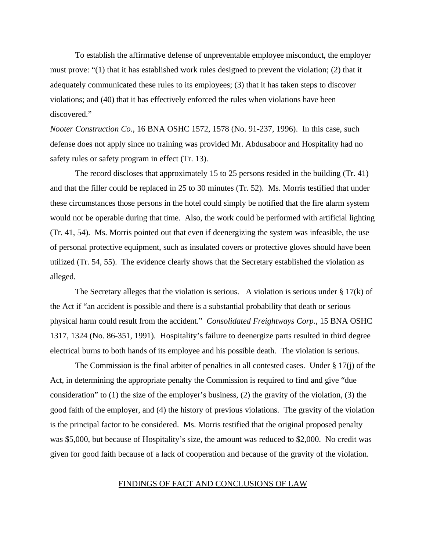To establish the affirmative defense of unpreventable employee misconduct, the employer must prove: "(1) that it has established work rules designed to prevent the violation; (2) that it adequately communicated these rules to its employees; (3) that it has taken steps to discover violations; and (40) that it has effectively enforced the rules when violations have been discovered."

*Nooter Construction Co.*, 16 BNA OSHC 1572, 1578 (No. 91-237, 1996). In this case, such defense does not apply since no training was provided Mr. Abdusaboor and Hospitality had no safety rules or safety program in effect (Tr. 13).

The record discloses that approximately 15 to 25 persons resided in the building (Tr. 41) and that the filler could be replaced in 25 to 30 minutes (Tr. 52). Ms. Morris testified that under these circumstances those persons in the hotel could simply be notified that the fire alarm system would not be operable during that time. Also, the work could be performed with artificial lighting (Tr. 41, 54). Ms. Morris pointed out that even if deenergizing the system was infeasible, the use of personal protective equipment, such as insulated covers or protective gloves should have been utilized (Tr. 54, 55). The evidence clearly shows that the Secretary established the violation as alleged.

The Secretary alleges that the violation is serious. A violation is serious under  $\S 17(k)$  of the Act if "an accident is possible and there is a substantial probability that death or serious physical harm could result from the accident." *Consolidated Freightways Corp.*, 15 BNA OSHC 1317, 1324 (No. 86-351, 1991). Hospitality's failure to deenergize parts resulted in third degree electrical burns to both hands of its employee and his possible death. The violation is serious.

The Commission is the final arbiter of penalties in all contested cases. Under  $\S 17(i)$  of the Act, in determining the appropriate penalty the Commission is required to find and give "due consideration" to (1) the size of the employer's business, (2) the gravity of the violation, (3) the good faith of the employer, and (4) the history of previous violations. The gravity of the violation is the principal factor to be considered. Ms. Morris testified that the original proposed penalty was \$5,000, but because of Hospitality's size, the amount was reduced to \$2,000. No credit was given for good faith because of a lack of cooperation and because of the gravity of the violation.

#### FINDINGS OF FACT AND CONCLUSIONS OF LAW